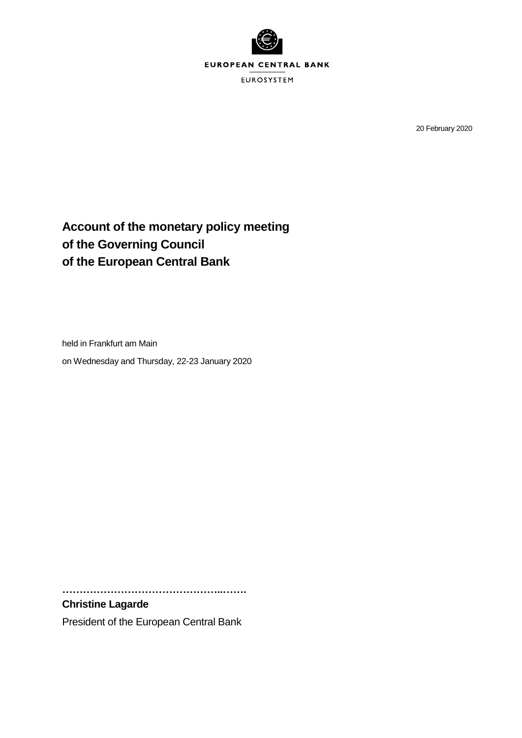

20 February 2020

# **Account of the monetary policy meeting of the Governing Council of the European Central Bank**

held in Frankfurt am Main on Wednesday and Thursday, 22-23 January 2020

**………………………………………..…….**

## **Christine Lagarde**

President of the European Central Bank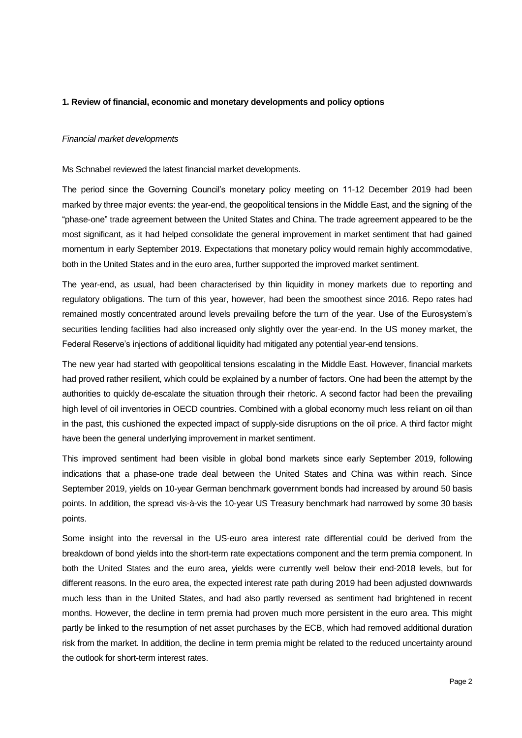## **1. Review of financial, economic and monetary developments and policy options**

## *Financial market developments*

Ms Schnabel reviewed the latest financial market developments.

The period since the Governing Council's monetary policy meeting on 11-12 December 2019 had been marked by three major events: the year-end, the geopolitical tensions in the Middle East, and the signing of the "phase-one" trade agreement between the United States and China. The trade agreement appeared to be the most significant, as it had helped consolidate the general improvement in market sentiment that had gained momentum in early September 2019. Expectations that monetary policy would remain highly accommodative, both in the United States and in the euro area, further supported the improved market sentiment.

The year-end, as usual, had been characterised by thin liquidity in money markets due to reporting and regulatory obligations. The turn of this year, however, had been the smoothest since 2016. Repo rates had remained mostly concentrated around levels prevailing before the turn of the year. Use of the Eurosystem's securities lending facilities had also increased only slightly over the year-end. In the US money market, the Federal Reserve's injections of additional liquidity had mitigated any potential year-end tensions.

The new year had started with geopolitical tensions escalating in the Middle East. However, financial markets had proved rather resilient, which could be explained by a number of factors. One had been the attempt by the authorities to quickly de-escalate the situation through their rhetoric. A second factor had been the prevailing high level of oil inventories in OECD countries. Combined with a global economy much less reliant on oil than in the past, this cushioned the expected impact of supply-side disruptions on the oil price. A third factor might have been the general underlying improvement in market sentiment.

This improved sentiment had been visible in global bond markets since early September 2019, following indications that a phase-one trade deal between the United States and China was within reach. Since September 2019, yields on 10-year German benchmark government bonds had increased by around 50 basis points. In addition, the spread vis-à-vis the 10-year US Treasury benchmark had narrowed by some 30 basis points.

Some insight into the reversal in the US-euro area interest rate differential could be derived from the breakdown of bond yields into the short-term rate expectations component and the term premia component. In both the United States and the euro area, yields were currently well below their end-2018 levels, but for different reasons. In the euro area, the expected interest rate path during 2019 had been adjusted downwards much less than in the United States, and had also partly reversed as sentiment had brightened in recent months. However, the decline in term premia had proven much more persistent in the euro area. This might partly be linked to the resumption of net asset purchases by the ECB, which had removed additional duration risk from the market. In addition, the decline in term premia might be related to the reduced uncertainty around the outlook for short-term interest rates.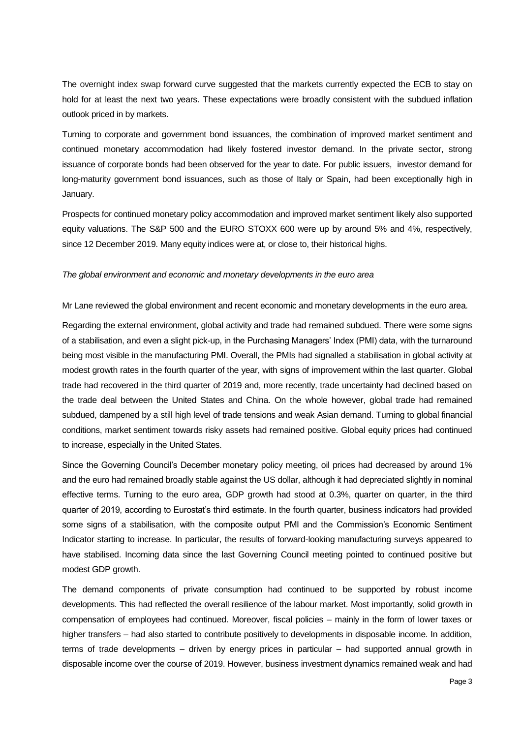The overnight index swap forward curve suggested that the markets currently expected the ECB to stay on hold for at least the next two years. These expectations were broadly consistent with the subdued inflation outlook priced in by markets.

Turning to corporate and government bond issuances, the combination of improved market sentiment and continued monetary accommodation had likely fostered investor demand. In the private sector, strong issuance of corporate bonds had been observed for the year to date. For public issuers, investor demand for long-maturity government bond issuances, such as those of Italy or Spain, had been exceptionally high in January.

Prospects for continued monetary policy accommodation and improved market sentiment likely also supported equity valuations. The S&P 500 and the EURO STOXX 600 were up by around 5% and 4%, respectively, since 12 December 2019. Many equity indices were at, or close to, their historical highs.

## *The global environment and economic and monetary developments in the euro area*

Mr Lane reviewed the global environment and recent economic and monetary developments in the euro area.

Regarding the external environment, global activity and trade had remained subdued. There were some signs of a stabilisation, and even a slight pick-up, in the Purchasing Managers' Index (PMI) data, with the turnaround being most visible in the manufacturing PMI. Overall, the PMIs had signalled a stabilisation in global activity at modest growth rates in the fourth quarter of the year, with signs of improvement within the last quarter. Global trade had recovered in the third quarter of 2019 and, more recently, trade uncertainty had declined based on the trade deal between the United States and China. On the whole however, global trade had remained subdued, dampened by a still high level of trade tensions and weak Asian demand. Turning to global financial conditions, market sentiment towards risky assets had remained positive. Global equity prices had continued to increase, especially in the United States.

Since the Governing Council's December monetary policy meeting, oil prices had decreased by around 1% and the euro had remained broadly stable against the US dollar, although it had depreciated slightly in nominal effective terms. Turning to the euro area, GDP growth had stood at 0.3%, quarter on quarter, in the third quarter of 2019, according to Eurostat's third estimate. In the fourth quarter, business indicators had provided some signs of a stabilisation, with the composite output PMI and the Commission's Economic Sentiment Indicator starting to increase. In particular, the results of forward-looking manufacturing surveys appeared to have stabilised. Incoming data since the last Governing Council meeting pointed to continued positive but modest GDP growth.

The demand components of private consumption had continued to be supported by robust income developments. This had reflected the overall resilience of the labour market. Most importantly, solid growth in compensation of employees had continued. Moreover, fiscal policies – mainly in the form of lower taxes or higher transfers – had also started to contribute positively to developments in disposable income. In addition, terms of trade developments – driven by energy prices in particular – had supported annual growth in disposable income over the course of 2019. However, business investment dynamics remained weak and had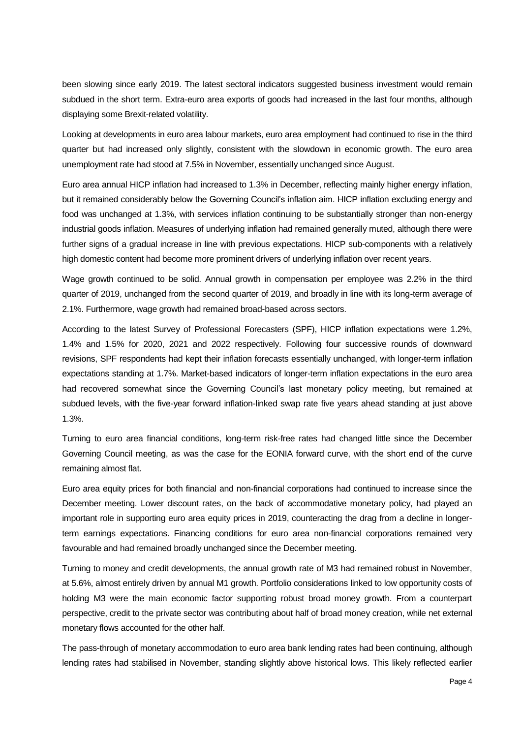been slowing since early 2019. The latest sectoral indicators suggested business investment would remain subdued in the short term. Extra-euro area exports of goods had increased in the last four months, although displaying some Brexit-related volatility.

Looking at developments in euro area labour markets, euro area employment had continued to rise in the third quarter but had increased only slightly, consistent with the slowdown in economic growth. The euro area unemployment rate had stood at 7.5% in November, essentially unchanged since August.

Euro area annual HICP inflation had increased to 1.3% in December, reflecting mainly higher energy inflation, but it remained considerably below the Governing Council's inflation aim. HICP inflation excluding energy and food was unchanged at 1.3%, with services inflation continuing to be substantially stronger than non-energy industrial goods inflation. Measures of underlying inflation had remained generally muted, although there were further signs of a gradual increase in line with previous expectations. HICP sub-components with a relatively high domestic content had become more prominent drivers of underlying inflation over recent years.

Wage growth continued to be solid. Annual growth in compensation per employee was 2.2% in the third quarter of 2019, unchanged from the second quarter of 2019, and broadly in line with its long*-*term average of 2.1%. Furthermore, wage growth had remained broad-based across sectors.

According to the latest Survey of Professional Forecasters (SPF), HICP inflation expectations were 1.2%, 1.4% and 1.5% for 2020, 2021 and 2022 respectively. Following four successive rounds of downward revisions, SPF respondents had kept their inflation forecasts essentially unchanged, with longer-term inflation expectations standing at 1.7%. Market-based indicators of longer-term inflation expectations in the euro area had recovered somewhat since the Governing Council's last monetary policy meeting, but remained at subdued levels, with the five-year forward inflation-linked swap rate five years ahead standing at just above 1.3%.

Turning to euro area financial conditions, long-term risk-free rates had changed little since the December Governing Council meeting, as was the case for the EONIA forward curve, with the short end of the curve remaining almost flat.

Euro area equity prices for both financial and non-financial corporations had continued to increase since the December meeting. Lower discount rates, on the back of accommodative monetary policy, had played an important role in supporting euro area equity prices in 2019, counteracting the drag from a decline in longerterm earnings expectations. Financing conditions for euro area non-financial corporations remained very favourable and had remained broadly unchanged since the December meeting.

Turning to money and credit developments, the annual growth rate of M3 had remained robust in November, at 5.6%, almost entirely driven by annual M1 growth. Portfolio considerations linked to low opportunity costs of holding M3 were the main economic factor supporting robust broad money growth. From a counterpart perspective, credit to the private sector was contributing about half of broad money creation, while net external monetary flows accounted for the other half.

The pass-through of monetary accommodation to euro area bank lending rates had been continuing, although lending rates had stabilised in November, standing slightly above historical lows. This likely reflected earlier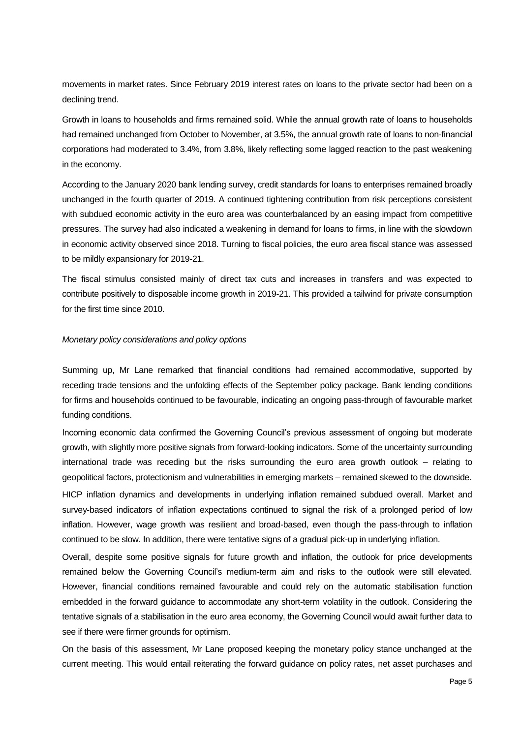movements in market rates. Since February 2019 interest rates on loans to the private sector had been on a declining trend.

Growth in loans to households and firms remained solid. While the annual growth rate of loans to households had remained unchanged from October to November, at 3.5%, the annual growth rate of loans to non-financial corporations had moderated to 3.4%, from 3.8%, likely reflecting some lagged reaction to the past weakening in the economy.

According to the January 2020 bank lending survey, credit standards for loans to enterprises remained broadly unchanged in the fourth quarter of 2019. A continued tightening contribution from risk perceptions consistent with subdued economic activity in the euro area was counterbalanced by an easing impact from competitive pressures. The survey had also indicated a weakening in demand for loans to firms, in line with the slowdown in economic activity observed since 2018. Turning to fiscal policies, the euro area fiscal stance was assessed to be mildly expansionary for 2019-21.

The fiscal stimulus consisted mainly of direct tax cuts and increases in transfers and was expected to contribute positively to disposable income growth in 2019-21. This provided a tailwind for private consumption for the first time since 2010.

## *Monetary policy considerations and policy options*

Summing up, Mr Lane remarked that financial conditions had remained accommodative, supported by receding trade tensions and the unfolding effects of the September policy package. Bank lending conditions for firms and households continued to be favourable, indicating an ongoing pass-through of favourable market funding conditions.

Incoming economic data confirmed the Governing Council's previous assessment of ongoing but moderate growth, with slightly more positive signals from forward-looking indicators. Some of the uncertainty surrounding international trade was receding but the risks surrounding the euro area growth outlook – relating to geopolitical factors, protectionism and vulnerabilities in emerging markets – remained skewed to the downside.

HICP inflation dynamics and developments in underlying inflation remained subdued overall. Market and survey-based indicators of inflation expectations continued to signal the risk of a prolonged period of low inflation. However, wage growth was resilient and broad-based, even though the pass-through to inflation continued to be slow. In addition, there were tentative signs of a gradual pick-up in underlying inflation.

Overall, despite some positive signals for future growth and inflation, the outlook for price developments remained below the Governing Council's medium-term aim and risks to the outlook were still elevated. However, financial conditions remained favourable and could rely on the automatic stabilisation function embedded in the forward guidance to accommodate any short-term volatility in the outlook. Considering the tentative signals of a stabilisation in the euro area economy, the Governing Council would await further data to see if there were firmer grounds for optimism.

On the basis of this assessment, Mr Lane proposed keeping the monetary policy stance unchanged at the current meeting. This would entail reiterating the forward guidance on policy rates, net asset purchases and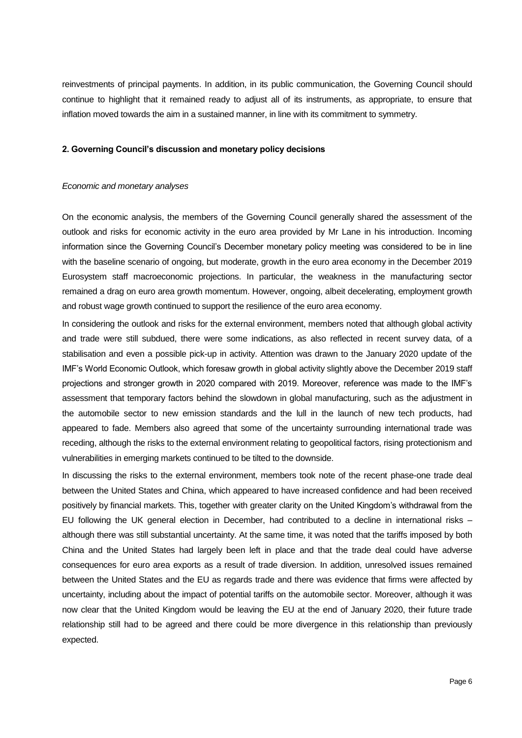reinvestments of principal payments. In addition, in its public communication, the Governing Council should continue to highlight that it remained ready to adjust all of its instruments, as appropriate, to ensure that inflation moved towards the aim in a sustained manner, in line with its commitment to symmetry.

## **2. Governing Council's discussion and monetary policy decisions**

### *Economic and monetary analyses*

On the economic analysis, the members of the Governing Council generally shared the assessment of the outlook and risks for economic activity in the euro area provided by Mr Lane in his introduction. Incoming information since the Governing Council's December monetary policy meeting was considered to be in line with the baseline scenario of ongoing, but moderate, growth in the euro area economy in the December 2019 Eurosystem staff macroeconomic projections. In particular, the weakness in the manufacturing sector remained a drag on euro area growth momentum. However, ongoing, albeit decelerating, employment growth and robust wage growth continued to support the resilience of the euro area economy.

In considering the outlook and risks for the external environment, members noted that although global activity and trade were still subdued, there were some indications, as also reflected in recent survey data, of a stabilisation and even a possible pick-up in activity. Attention was drawn to the January 2020 update of the IMF's World Economic Outlook, which foresaw growth in global activity slightly above the December 2019 staff projections and stronger growth in 2020 compared with 2019. Moreover, reference was made to the IMF's assessment that temporary factors behind the slowdown in global manufacturing, such as the adjustment in the automobile sector to new emission standards and the lull in the launch of new tech products, had appeared to fade. Members also agreed that some of the uncertainty surrounding international trade was receding, although the risks to the external environment relating to geopolitical factors, rising protectionism and vulnerabilities in emerging markets continued to be tilted to the downside.

In discussing the risks to the external environment, members took note of the recent phase-one trade deal between the United States and China, which appeared to have increased confidence and had been received positively by financial markets. This, together with greater clarity on the United Kingdom's withdrawal from the EU following the UK general election in December, had contributed to a decline in international risks – although there was still substantial uncertainty. At the same time, it was noted that the tariffs imposed by both China and the United States had largely been left in place and that the trade deal could have adverse consequences for euro area exports as a result of trade diversion. In addition, unresolved issues remained between the United States and the EU as regards trade and there was evidence that firms were affected by uncertainty, including about the impact of potential tariffs on the automobile sector. Moreover, although it was now clear that the United Kingdom would be leaving the EU at the end of January 2020, their future trade relationship still had to be agreed and there could be more divergence in this relationship than previously expected.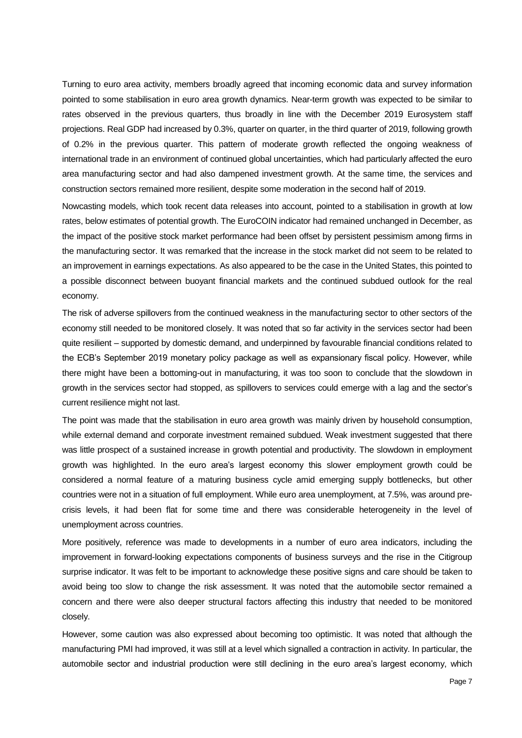Turning to euro area activity, members broadly agreed that incoming economic data and survey information pointed to some stabilisation in euro area growth dynamics. Near-term growth was expected to be similar to rates observed in the previous quarters, thus broadly in line with the December 2019 Eurosystem staff projections. Real GDP had increased by 0.3%, quarter on quarter, in the third quarter of 2019, following growth of 0.2% in the previous quarter. This pattern of moderate growth reflected the ongoing weakness of international trade in an environment of continued global uncertainties, which had particularly affected the euro area manufacturing sector and had also dampened investment growth. At the same time, the services and construction sectors remained more resilient, despite some moderation in the second half of 2019.

Nowcasting models, which took recent data releases into account, pointed to a stabilisation in growth at low rates, below estimates of potential growth. The EuroCOIN indicator had remained unchanged in December, as the impact of the positive stock market performance had been offset by persistent pessimism among firms in the manufacturing sector. It was remarked that the increase in the stock market did not seem to be related to an improvement in earnings expectations. As also appeared to be the case in the United States, this pointed to a possible disconnect between buoyant financial markets and the continued subdued outlook for the real economy.

The risk of adverse spillovers from the continued weakness in the manufacturing sector to other sectors of the economy still needed to be monitored closely. It was noted that so far activity in the services sector had been quite resilient – supported by domestic demand, and underpinned by favourable financial conditions related to the ECB's September 2019 monetary policy package as well as expansionary fiscal policy. However, while there might have been a bottoming-out in manufacturing, it was too soon to conclude that the slowdown in growth in the services sector had stopped, as spillovers to services could emerge with a lag and the sector's current resilience might not last.

The point was made that the stabilisation in euro area growth was mainly driven by household consumption, while external demand and corporate investment remained subdued. Weak investment suggested that there was little prospect of a sustained increase in growth potential and productivity. The slowdown in employment growth was highlighted. In the euro area's largest economy this slower employment growth could be considered a normal feature of a maturing business cycle amid emerging supply bottlenecks, but other countries were not in a situation of full employment. While euro area unemployment, at 7.5%, was around precrisis levels, it had been flat for some time and there was considerable heterogeneity in the level of unemployment across countries.

More positively, reference was made to developments in a number of euro area indicators, including the improvement in forward-looking expectations components of business surveys and the rise in the Citigroup surprise indicator. It was felt to be important to acknowledge these positive signs and care should be taken to avoid being too slow to change the risk assessment. It was noted that the automobile sector remained a concern and there were also deeper structural factors affecting this industry that needed to be monitored closely.

However, some caution was also expressed about becoming too optimistic. It was noted that although the manufacturing PMI had improved, it was still at a level which signalled a contraction in activity. In particular, the automobile sector and industrial production were still declining in the euro area's largest economy, which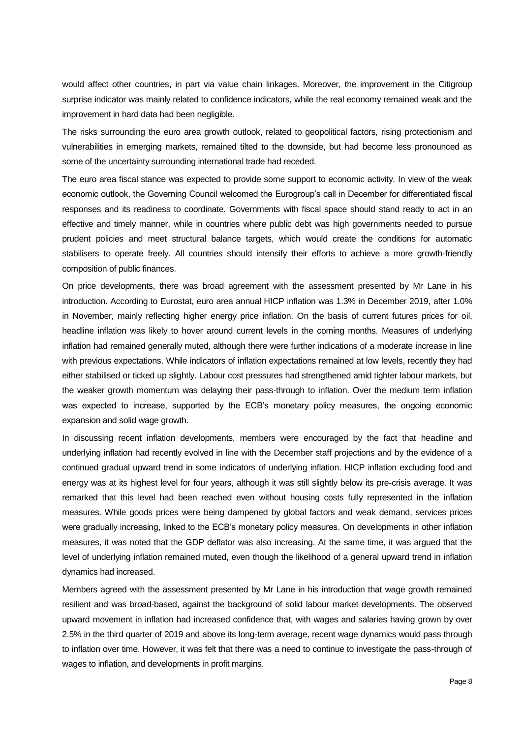would affect other countries, in part via value chain linkages. Moreover, the improvement in the Citigroup surprise indicator was mainly related to confidence indicators, while the real economy remained weak and the improvement in hard data had been negligible.

The risks surrounding the euro area growth outlook, related to geopolitical factors, rising protectionism and vulnerabilities in emerging markets, remained tilted to the downside, but had become less pronounced as some of the uncertainty surrounding international trade had receded.

The euro area fiscal stance was expected to provide some support to economic activity. In view of the weak economic outlook, the Governing Council welcomed the Eurogroup's call in December for differentiated fiscal responses and its readiness to coordinate. Governments with fiscal space should stand ready to act in an effective and timely manner, while in countries where public debt was high governments needed to pursue prudent policies and meet structural balance targets, which would create the conditions for automatic stabilisers to operate freely. All countries should intensify their efforts to achieve a more growth-friendly composition of public finances.

On price developments, there was broad agreement with the assessment presented by Mr Lane in his introduction. According to Eurostat, euro area annual HICP inflation was 1.3% in December 2019, after 1.0% in November, mainly reflecting higher energy price inflation. On the basis of current futures prices for oil, headline inflation was likely to hover around current levels in the coming months. Measures of underlying inflation had remained generally muted, although there were further indications of a moderate increase in line with previous expectations. While indicators of inflation expectations remained at low levels, recently they had either stabilised or ticked up slightly. Labour cost pressures had strengthened amid tighter labour markets, but the weaker growth momentum was delaying their pass-through to inflation. Over the medium term inflation was expected to increase, supported by the ECB's monetary policy measures, the ongoing economic expansion and solid wage growth.

In discussing recent inflation developments, members were encouraged by the fact that headline and underlying inflation had recently evolved in line with the December staff projections and by the evidence of a continued gradual upward trend in some indicators of underlying inflation. HICP inflation excluding food and energy was at its highest level for four years, although it was still slightly below its pre-crisis average. It was remarked that this level had been reached even without housing costs fully represented in the inflation measures. While goods prices were being dampened by global factors and weak demand, services prices were gradually increasing, linked to the ECB's monetary policy measures. On developments in other inflation measures, it was noted that the GDP deflator was also increasing. At the same time, it was argued that the level of underlying inflation remained muted, even though the likelihood of a general upward trend in inflation dynamics had increased.

Members agreed with the assessment presented by Mr Lane in his introduction that wage growth remained resilient and was broad-based, against the background of solid labour market developments. The observed upward movement in inflation had increased confidence that, with wages and salaries having grown by over 2.5% in the third quarter of 2019 and above its long-term average, recent wage dynamics would pass through to inflation over time. However, it was felt that there was a need to continue to investigate the pass-through of wages to inflation, and developments in profit margins.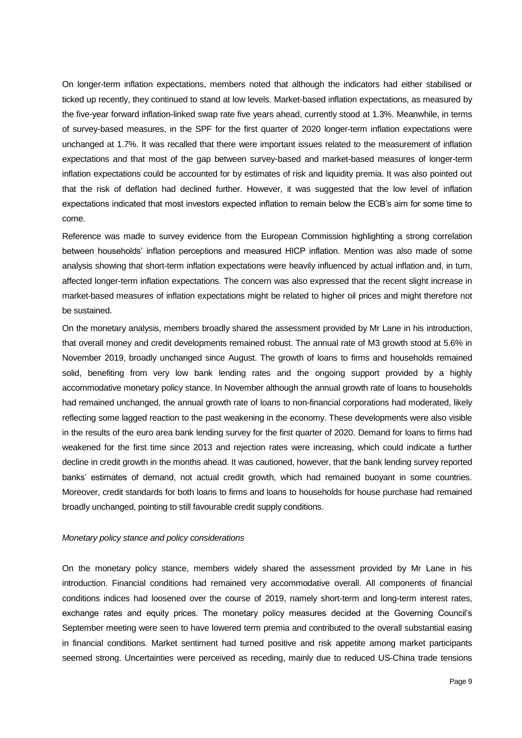On longer-term inflation expectations, members noted that although the indicators had either stabilised or ticked up recently, they continued to stand at low levels. Market-based inflation expectations, as measured by the five-year forward inflation-linked swap rate five years ahead, currently stood at 1.3%. Meanwhile, in terms of survey-based measures, in the SPF for the first quarter of 2020 longer-term inflation expectations were unchanged at 1.7%. It was recalled that there were important issues related to the measurement of inflation expectations and that most of the gap between survey-based and market-based measures of longer-term inflation expectations could be accounted for by estimates of risk and liquidity premia. It was also pointed out that the risk of deflation had declined further. However, it was suggested that the low level of inflation expectations indicated that most investors expected inflation to remain below the ECB's aim for some time to come.

Reference was made to survey evidence from the European Commission highlighting a strong correlation between households' inflation perceptions and measured HICP inflation. Mention was also made of some analysis showing that short-term inflation expectations were heavily influenced by actual inflation and, in turn, affected longer-term inflation expectations. The concern was also expressed that the recent slight increase in market-based measures of inflation expectations might be related to higher oil prices and might therefore not be sustained.

On the monetary analysis, members broadly shared the assessment provided by Mr Lane in his introduction, that overall money and credit developments remained robust. The annual rate of M3 growth stood at 5.6% in November 2019, broadly unchanged since August. The growth of loans to firms and households remained solid, benefiting from very low bank lending rates and the ongoing support provided by a highly accommodative monetary policy stance. In November although the annual growth rate of loans to households had remained unchanged, the annual growth rate of loans to non-financial corporations had moderated, likely reflecting some lagged reaction to the past weakening in the economy. These developments were also visible in the results of the euro area bank lending survey for the first quarter of 2020. Demand for loans to firms had weakened for the first time since 2013 and rejection rates were increasing, which could indicate a further decline in credit growth in the months ahead. It was cautioned, however, that the bank lending survey reported banks' estimates of demand, not actual credit growth, which had remained buoyant in some countries. Moreover, credit standards for both loans to firms and loans to households for house purchase had remained broadly unchanged, pointing to still favourable credit supply conditions.

#### *Monetary policy stance and policy considerations*

On the monetary policy stance, members widely shared the assessment provided by Mr Lane in his introduction. Financial conditions had remained very accommodative overall. All components of financial conditions indices had loosened over the course of 2019, namely short-term and long-term interest rates, exchange rates and equity prices. The monetary policy measures decided at the Governing Council's September meeting were seen to have lowered term premia and contributed to the overall substantial easing in financial conditions. Market sentiment had turned positive and risk appetite among market participants seemed strong. Uncertainties were perceived as receding, mainly due to reduced US-China trade tensions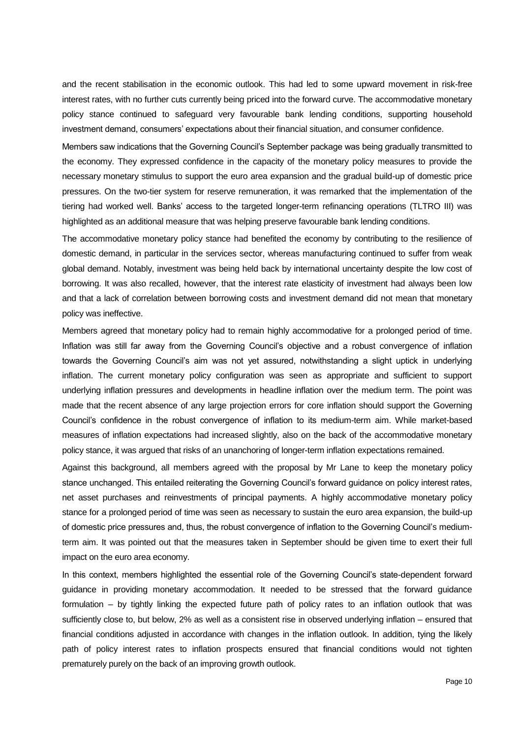and the recent stabilisation in the economic outlook. This had led to some upward movement in risk-free interest rates, with no further cuts currently being priced into the forward curve. The accommodative monetary policy stance continued to safeguard very favourable bank lending conditions, supporting household investment demand, consumers' expectations about their financial situation, and consumer confidence.

Members saw indications that the Governing Council's September package was being gradually transmitted to the economy. They expressed confidence in the capacity of the monetary policy measures to provide the necessary monetary stimulus to support the euro area expansion and the gradual build-up of domestic price pressures. On the two-tier system for reserve remuneration, it was remarked that the implementation of the tiering had worked well. Banks' access to the targeted longer-term refinancing operations (TLTRO III) was highlighted as an additional measure that was helping preserve favourable bank lending conditions.

The accommodative monetary policy stance had benefited the economy by contributing to the resilience of domestic demand, in particular in the services sector, whereas manufacturing continued to suffer from weak global demand. Notably, investment was being held back by international uncertainty despite the low cost of borrowing. It was also recalled, however, that the interest rate elasticity of investment had always been low and that a lack of correlation between borrowing costs and investment demand did not mean that monetary policy was ineffective.

Members agreed that monetary policy had to remain highly accommodative for a prolonged period of time. Inflation was still far away from the Governing Council's objective and a robust convergence of inflation towards the Governing Council's aim was not yet assured, notwithstanding a slight uptick in underlying inflation. The current monetary policy configuration was seen as appropriate and sufficient to support underlying inflation pressures and developments in headline inflation over the medium term. The point was made that the recent absence of any large projection errors for core inflation should support the Governing Council's confidence in the robust convergence of inflation to its medium-term aim. While market-based measures of inflation expectations had increased slightly, also on the back of the accommodative monetary policy stance, it was argued that risks of an unanchoring of longer-term inflation expectations remained.

Against this background, all members agreed with the proposal by Mr Lane to keep the monetary policy stance unchanged. This entailed reiterating the Governing Council's forward guidance on policy interest rates, net asset purchases and reinvestments of principal payments. A highly accommodative monetary policy stance for a prolonged period of time was seen as necessary to sustain the euro area expansion, the build-up of domestic price pressures and, thus, the robust convergence of inflation to the Governing Council's mediumterm aim. It was pointed out that the measures taken in September should be given time to exert their full impact on the euro area economy.

In this context, members highlighted the essential role of the Governing Council's state-dependent forward guidance in providing monetary accommodation. It needed to be stressed that the forward guidance formulation – by tightly linking the expected future path of policy rates to an inflation outlook that was sufficiently close to, but below, 2% as well as a consistent rise in observed underlying inflation – ensured that financial conditions adjusted in accordance with changes in the inflation outlook. In addition, tying the likely path of policy interest rates to inflation prospects ensured that financial conditions would not tighten prematurely purely on the back of an improving growth outlook.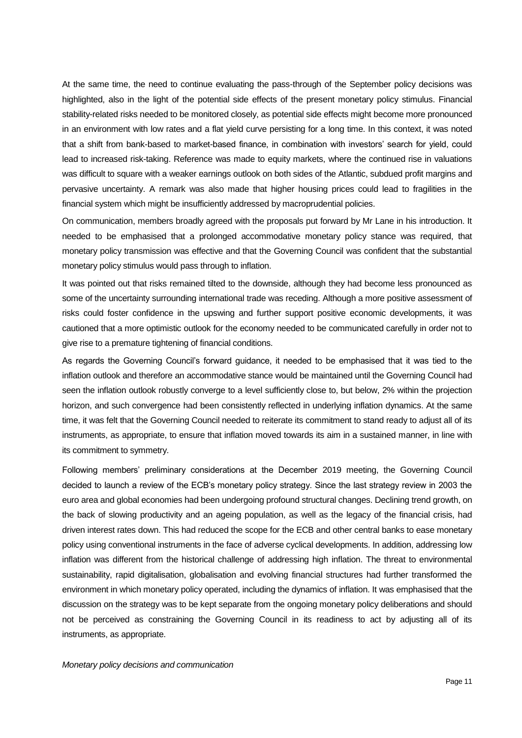At the same time, the need to continue evaluating the pass-through of the September policy decisions was highlighted, also in the light of the potential side effects of the present monetary policy stimulus. Financial stability-related risks needed to be monitored closely, as potential side effects might become more pronounced in an environment with low rates and a flat yield curve persisting for a long time. In this context, it was noted that a shift from bank-based to market-based finance, in combination with investors' search for yield, could lead to increased risk-taking. Reference was made to equity markets, where the continued rise in valuations was difficult to square with a weaker earnings outlook on both sides of the Atlantic, subdued profit margins and pervasive uncertainty. A remark was also made that higher housing prices could lead to fragilities in the financial system which might be insufficiently addressed by macroprudential policies.

On communication, members broadly agreed with the proposals put forward by Mr Lane in his introduction. It needed to be emphasised that a prolonged accommodative monetary policy stance was required, that monetary policy transmission was effective and that the Governing Council was confident that the substantial monetary policy stimulus would pass through to inflation.

It was pointed out that risks remained tilted to the downside, although they had become less pronounced as some of the uncertainty surrounding international trade was receding. Although a more positive assessment of risks could foster confidence in the upswing and further support positive economic developments, it was cautioned that a more optimistic outlook for the economy needed to be communicated carefully in order not to give rise to a premature tightening of financial conditions.

As regards the Governing Council's forward guidance, it needed to be emphasised that it was tied to the inflation outlook and therefore an accommodative stance would be maintained until the Governing Council had seen the inflation outlook robustly converge to a level sufficiently close to, but below, 2% within the projection horizon, and such convergence had been consistently reflected in underlying inflation dynamics. At the same time, it was felt that the Governing Council needed to reiterate its commitment to stand ready to adjust all of its instruments, as appropriate, to ensure that inflation moved towards its aim in a sustained manner, in line with its commitment to symmetry.

Following members' preliminary considerations at the December 2019 meeting, the Governing Council decided to launch a review of the ECB's monetary policy strategy. Since the last strategy review in 2003 the euro area and global economies had been undergoing profound structural changes. Declining trend growth, on the back of slowing productivity and an ageing population, as well as the legacy of the financial crisis, had driven interest rates down. This had reduced the scope for the ECB and other central banks to ease monetary policy using conventional instruments in the face of adverse cyclical developments. In addition, addressing low inflation was different from the historical challenge of addressing high inflation. The threat to environmental sustainability, rapid digitalisation, globalisation and evolving financial structures had further transformed the environment in which monetary policy operated, including the dynamics of inflation. It was emphasised that the discussion on the strategy was to be kept separate from the ongoing monetary policy deliberations and should not be perceived as constraining the Governing Council in its readiness to act by adjusting all of its instruments, as appropriate.

#### *Monetary policy decisions and communication*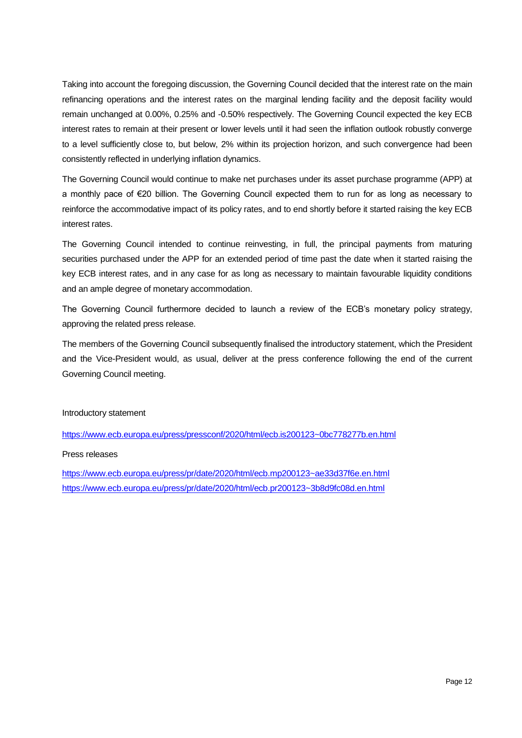Taking into account the foregoing discussion, the Governing Council decided that the interest rate on the main refinancing operations and the interest rates on the marginal lending facility and the deposit facility would remain unchanged at 0.00%, 0.25% and -0.50% respectively. The Governing Council expected the key ECB interest rates to remain at their present or lower levels until it had seen the inflation outlook robustly converge to a level sufficiently close to, but below, 2% within its projection horizon, and such convergence had been consistently reflected in underlying inflation dynamics.

The Governing Council would continue to make net purchases under its asset purchase programme (APP) at a monthly pace of €20 billion. The Governing Council expected them to run for as long as necessary to reinforce the accommodative impact of its policy rates, and to end shortly before it started raising the key ECB interest rates.

The Governing Council intended to continue reinvesting, in full, the principal payments from maturing securities purchased under the APP for an extended period of time past the date when it started raising the key ECB interest rates, and in any case for as long as necessary to maintain favourable liquidity conditions and an ample degree of monetary accommodation.

The Governing Council furthermore decided to launch a review of the ECB's monetary policy strategy, approving the related press release.

The members of the Governing Council subsequently finalised the introductory statement, which the President and the Vice-President would, as usual, deliver at the press conference following the end of the current Governing Council meeting.

## Introductory statement

<https://www.ecb.europa.eu/press/pressconf/2020/html/ecb.is200123~0bc778277b.en.html>

## Press releases

<https://www.ecb.europa.eu/press/pr/date/2020/html/ecb.mp200123~ae33d37f6e.en.html> <https://www.ecb.europa.eu/press/pr/date/2020/html/ecb.pr200123~3b8d9fc08d.en.html>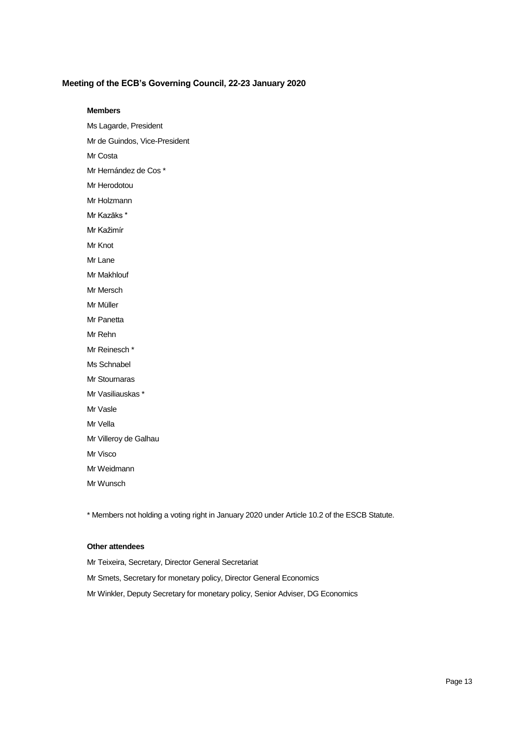## **Meeting of the ECB's Governing Council, 22-23 January 2020**

#### **Members**

- Ms Lagarde, President
- Mr de Guindos, Vice-President
- Mr Costa
- Mr Hernández de Cos \*
- Mr Herodotou
- Mr Holzmann
- Mr Kazāks \*
- Mr Kažimír
- Mr Knot
- Mr Lane
- Mr Makhlouf
- Mr Mersch
- Mr Müller
- Mr Panetta
- Mr Rehn
- Mr Reinesch \*
- Ms Schnabel
- Mr Stournaras
- Mr Vasiliauskas \*
- Mr Vasle
- Mr Vella
- Mr Villeroy de Galhau
- Mr Visco
- Mr Weidmann
- Mr Wunsch

\* Members not holding a voting right in January 2020 under Article 10.2 of the ESCB Statute.

#### **Other attendees**

Mr Teixeira, Secretary, Director General Secretariat Mr Smets, Secretary for monetary policy, Director General Economics Mr Winkler, Deputy Secretary for monetary policy, Senior Adviser, DG Economics